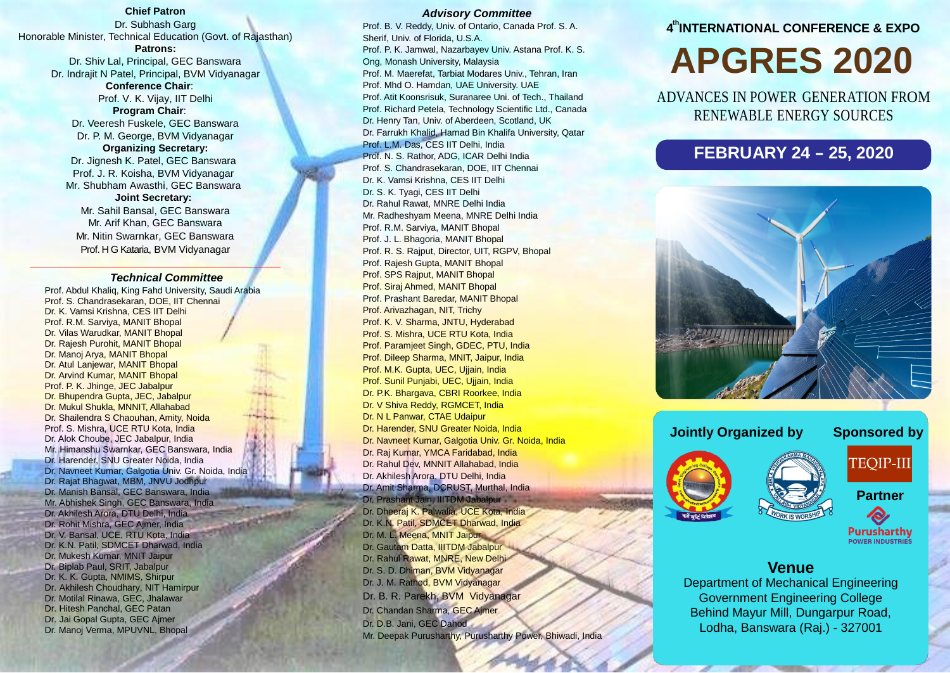#### **Chief Patron**

Dr. Subhash Garg Honorable Minister, Technical Education (Govt. of Rajasthan) **Patrons:** Dr. Shiv Lal, Principal, GEC Banswara

Dr. Indrajit N Patel, Principal, BVM Vidyanagar **Conference Chair**:

Prof. V. K. Vijay, IIT Delhi **Program Chair**: Dr. Veeresh Fuskele, GEC Banswara Dr. P. M. George, BVM Vidyanagar **Organizing Secretary:** Dr. Jignesh K. Patel, GEC Banswara Prof. J. R. Koisha, BVM Vidyanagar Mr. Shubham Awasthi, GEC Banswara **Joint Secretary:** Mr. Sahil Bansal, GEC Banswara

Mr. Arif Khan, GEC Banswara Mr. Nitin Swarnkar, GEC Banswara Prof. H G Kataria, BVM Vidyanagar

#### *Technical Committee*

Prof. Abdul Khaliq, King Fahd University, Saudi Arabia Prof. S. Chandrasekaran, DOE, IIT Chennai Dr. K. Vamsi Krishna, CES IIT Delhi Prof. R.M. Sarviya, MANIT Bhopal Dr. Vilas Warudkar, MANIT Bhopal Dr. Rajesh Purohit, MANIT Bhopal Dr. Manoj Arya, MANIT Bhopal Dr. Atul Lanjewar, MANIT Bhopal Dr. Arvind Kumar, MANIT Bhopal Prof. P. K. Jhinge, JEC Jabalpur Dr. Bhupendra Gupta, JEC, Jabalpur Dr. Mukul Shukla, MNNIT, Allahabad Dr. Shailendra S Chaouhan, Amity, Noida Prof. S. Mishra, UCE RTU Kota, India Dr. Alok Choube, JEC Jabalpur, India Mr. Himanshu Swarnkar, GEC Banswara, India Dr. Harender, SNU Greater Noida, India Dr. Navneet Kumar, Galgotia Univ. Gr. Noida, India Dr. Rajat Bhagwat, MBM, JNVU Jodhpur Dr. Manish Bansal, GEC Banswara, India Mr. Abhishek Singh, GEC Banswara, India Dr. Akhilesh Arora, DTU Delhi, India Dr. Rohit Mishra, GEC Ajmer, India Dr. V. Bansal, UCE, RTU Kota, India Dr. K.N. Patil, SDMCET Dharwad, India Dr. Mukesh Kumar, MNIT Jaipur Dr. Biplab Paul, SRIT, Jabalpur Dr. K. K. Gupta, NMIMS, Shirpur Dr. Akhilesh Choudhary, NIT Hamirpur Dr. Motilal Rinawa, GEC, Jhalawar Dr. Hitesh Panchal, GEC Patan Dr. Jai Gopal Gupta, GEC Ajmer Dr. Manoj Verma, MPUVNL, Bhopal

#### *Advisory Committee*

Prof. B. V. Reddy, Univ. of Ontario, Canada Prof. S. A. Sherif, Univ. of Florida, U.S.A. Prof. P. K. Jamwal, Nazarbayev Univ. Astana Prof. K. S. Ong, Monash University, Malaysia Prof. M. Maerefat, Tarbiat Modares Univ., Tehran, Iran Prof. Mhd O. Hamdan, UAE University. UAE Prof. Atit Koonsrisuk, Suranaree Uni. of Tech., Thailand Prof. Richard Petela, Technology Scientific Ltd., Canada Dr. Henry Tan, Univ. of Aberdeen, Scotland, UK Dr. Farrukh Khalid, Hamad Bin Khalifa University, Qatar Prof. L.M. Das, CES IIT Delhi, India Prof. N. S. Rathor, ADG, ICAR Delhi India Prof. S. Chandrasekaran, DOE, IIT Chennai Dr. K. Vamsi Krishna, CES IIT Delhi Dr. S. K. Tyagi, CES IIT Delhi Dr. Rahul Rawat, MNRE Delhi India Mr. Radheshyam Meena, MNRE Delhi India Prof. R.M. Sarviya, MANIT Bhopal Prof. J. L. Bhagoria, MANIT Bhopal Prof. R. S. Rajput, Director, UIT, RGPV, Bhopal Prof. Rajesh Gupta, MANIT Bhopal Prof. SPS Rajput, MANIT Bhopal Prof. Siraj Ahmed, MANIT Bhopal Prof. Prashant Baredar, MANIT Bhopal Prof. Arivazhagan, NIT, Trichy Prof. K. V. Sharma, JNTU, Hyderabad Prof. S. Mishra, UCE RTU Kota, India Prof. Paramjeet Singh, GDEC, PTU, India Prof. Dileep Sharma, MNIT, Jaipur, India Prof. M.K. Gupta, UEC, Ujjain, India Prof. Sunil Punjabi, UEC, Ujjain, India Dr. P.K. Bhargava, CBRI Roorkee, India Dr. V Shiva Reddy, RGMCET, India Dr. N L Panwar, CTAE Udaipur Dr. Harender, SNU Greater Noida, India Dr. Navneet Kumar, Galgotia Univ. Gr. Noida, India Dr. Raj Kumar, YMCA Faridabad, India Dr. Rahul Dev, MNNIT Allahabad, India Dr. Akhilesh Arora, DTU Delhi, India Dr. Amit Sharma, DCRUST, Murthal, India Dr. Prashant Jain, IIITDM Jabalpur Dr. Dheeraj K. Palwalia, UCE Kota, India Dr. K.N. Patil, SDMCET Dharwad, India Dr. M. L. Meena, MNIT Jaipur Dr. Gautam Datta, IIITDM Jabalpur Dr. Rahul Rawat, MNRE, New Delhi Dr. S. D. Dhiman, BVM Vidyanagar Dr. J. M. Rathod, BVM Vidyanagar Dr. B. R. Parekh, BVM Vidyanagar Dr. Chandan Sharma, GEC Ajmer Dr. D.B. Jani, GEC Dahod Mr. Deepak Purusharthy, Purusharthy Power, Bhiwadi, India

### **4 thINTERNATIONAL CONFERENCE & EXPO**

# **APGRES 2020**

ADVANCES IN POWER GENERATION FROM RENEWABLE ENERGY SOURCES

# **FEBRUARY <sup>24</sup> - 25, <sup>2020</sup>**



#### **Jointly Organized by Sponsored by**

**TEQIP-III** 



**Partner** R,

**Purusharthy POWER INDUSTRIES** 

# **Venue**

Department of Mechanical Engineering Government Engineering College Behind Mayur Mill, Dungarpur Road, Lodha, Banswara (Raj.) - 327001